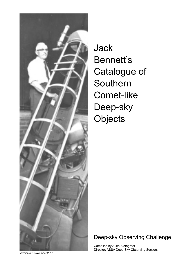

Jack Bennett's Catalogue of Southern Comet-like Deep-sky **Objects** 

### Deep-sky Observing Challenge

Compiled by Auke Slotegraaf Director: ASSA Deep-Sky Observing Section.

Version 4.2, November 2013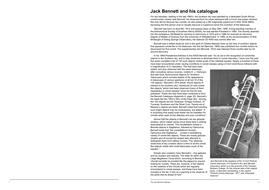# **Jack Bennett and his catalogue**

For two decades, starting in the late 1960's, the southern sky was patrolled by a dedicated South African comet-hunter named Jack Bennett. He observed from his urban backyard with a 5-inch low-power refractor. Not only did he discover two comets, he also picked up a 9th magnitude supernova in NGC 5236 (M83), becoming the first person ever to visually discover a supernova since the invention of the telescope.

 Bennett was born on April 6th, 1914 and passed away on May 30th, 1990. A long-standing member of the Astronomical Society of Southern Africa (ASSA), he was elected President in 1969. The Society awarded him the prestigious Gill Medal for services to astronomy in 1970 and in 1986 he received an Honorary Degree of Master of Science from the University of Witwatersrand. In 1989, at the recommendation of Rob McNaught of Siding Springs Observatory, the asteroid VD 4093 was named after him.

Bennett was a skilled observer and in the spirit of Charles Messier drew up two lists of southern objects that appeared comet-like in his telescope. His first list (Bennett, 1969) was published four months before he discovered his first comet. The supplementary list (Bennett, 1974) was followed three months later by his second discovery.

In his 1969 Presidential Address to the ASSA Bennett said: "As an aid to the recognition of comet-like objects in the Southern sky, and to help observers to eliminate them in comet searches, I have over the past five years compiled a list of 130 such objects visible south of the celestial equator. Nearly a hundred of these have been encountered under varying conditions in comet sweeps using a 5-inch short-focus refractor with a magnification of 21 diameters. The rest have been added, and duly observed with the same telescope, after consulting various sources, notably E. J. Hartung's first-rate book *Astronomical Objects for Southern Telescopes* which includes details of the appearance in telescopes of various apertures of all but 16 of the 130 objects." Bennett's 1974 article "Some objects of interest in the southern sky" introduced 22 new cometlike objects "which had been observed (many of them repeatedly) in comet sweeps" since his first list was published. These two lists have been combined to form the Bennett Catalogue (Appendix 4, page 35). Bennett's list reads like the "Who's Who of the Deep Sky". Among the 152 objects are the Tarantula, Omega Centauri, 47 Tucanae, Sombrero and the Silver Coin. Twenty-six of Messier's objects are listed. Bennett noted that including such bright objects may be unnecessary, but added: "it is surprising how easily even these can be mistaken for comets when seen at low altitudes and poor conditions." Almost half the objects in Bennett's list are globular clusters, which makes sense since these bear a striking

resemblance to comets. The constellation richest in Bennett objects is Sagittarius, followed by Ophiuchus. Bennett wrote that "the constellations Scorpio, Ophiuchus and Sagittarius . . contain a bewildering variety of comet-like objects. These are mostly globular clusters and all except the largest defy attempts to distinguish them from tailless comets. This relatively small area of sky contains about a third of all the cometlike objects visible with small telescopes south of the equator."

Dorado also contains many Bennett's – five galaxies and six clusters and nebulae. The latter lie within the Large Magellanic Cloud which, according to Bennett, "should normally be avoided like the plague by anyone looking for comets. There are, however, a few objects on the outskirts of the Clouds which are regularly encountered in comet sweeps, and these have been included in the list, if only as a warning to the observer of the perils that lie ahead of him!"



*Jack Bennett at the eyepiece of the 12-inch Pretoria Centre telescope. It is housed in the Jack Bennett Oservatory which is on the grounds of the Christian Brothers College. On the reverse side of the original photo, in Bennett's handwriting, is the caption: "Pretoria Centre telescope, 1977, with antiquated observer".*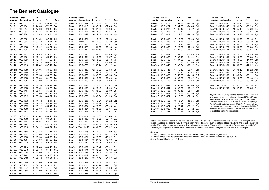### **The Bennett Catalogue**

| <b>Bennett Other</b> |                 |                | <b>RA</b>      | <b>Dec</b>            |     | <b>Bennett</b> | Other           |    | <b>RA</b> |       | Dec       |                  |     |
|----------------------|-----------------|----------------|----------------|-----------------------|-----|----------------|-----------------|----|-----------|-------|-----------|------------------|-----|
| number               | designation     | h              | m <sub>s</sub> | ۰<br>$\pmb{\epsilon}$ | Con | number         | designation     | h  | m s       |       | ۰         | $\pmb{\epsilon}$ | Con |
|                      |                 |                |                |                       |     |                |                 |    |           |       |           |                  |     |
| Ben 1                | <b>NGC 55</b>   | $\mathbf 0$    | 14 54          | $-39$ 11              | Scl | Ben 41b        | <b>NGC 2997</b> | 9  |           | 45 36 | $-31$ 11  |                  | Ant |
| Ben 2                | <b>NGC 104</b>  | 0              | 24<br>06       | $-72.05$              | Tuc | Ben 42         | <b>NGC 3115</b> |    | 10 05 12  |       | $-0743$   |                  | Sex |
| Ben 3                | <b>NGC 247</b>  | 0              | 06<br>47       | $-2046$               | Cet | Ben 43         | <b>NGC 3132</b> |    | 10 07 00  |       | $-40.26$  |                  | Vel |
| Ben 4                | <b>NGC 253</b>  | 0              | 36<br>47       | $-25$ 17              | Scl | Ben 44         | <b>NGC 3201</b> |    | 10 17 36  |       | $-46$ 25  |                  | Vel |
|                      |                 |                |                |                       |     |                |                 |    |           |       |           |                  |     |
| Ben 5                | <b>NGC 288</b>  | 0              | 52 48          | $-26$ 35              | Scl | <b>Ben 45</b>  | <b>NGC 3242</b> |    | 10 24 48  |       | $-18.38$  |                  | Hya |
| Ben 6                | <b>NGC 300</b>  | 0              | 54 54          | $-37$ 41              | Scl | Ben 46         | <b>NGC 3621</b> |    | 11 18 18  |       | $-32$ 49  |                  | Hya |
| Ben 7                | <b>NGC 362</b>  | 1              | 03<br>12       | $-70.51$              | Tuc | <b>Ben 47</b>  | Mel 105         | 11 |           | 19 39 | $-63$ 30  |                  | Car |
| Ben 8                | <b>NGC 613</b>  | 1              | 34<br>18       | $-29$ 25              | Scl | Ben 48         | <b>NGC 3960</b> | 11 |           | 50 52 | $-55$ 41  |                  | Cen |
| Ben 9                | <b>NGC 1068</b> | $\overline{2}$ | 42<br>42       | $-00$ 01              | Cet | <b>Ben 49</b>  | <b>NGC 3923</b> | 11 |           | 51 00 | $-28$ 48  |                  | Hya |
|                      |                 |                |                |                       |     |                |                 |    |           |       |           |                  |     |
| <b>Ben 10</b>        | <b>NGC 1097</b> | 2              | 46 18          | $-30$ 17              | For | <b>Ben 50</b>  | <b>NGC 4372</b> |    | 12 25 48  |       | $-72$ 40  |                  | Mus |
| Ben 10a              | <b>NGC 1232</b> | 3              | 09 48          | $-20.35$              | Eri | Ben 51         | <b>NGC 4590</b> |    | 12 39 30  |       | $-26$ 45  |                  | Hya |
| Ben 11               | <b>NGC 1261</b> | 3              | 12 18          | $-55$ 13              | Hor | <b>Ben 52</b>  | <b>NGC 4594</b> |    | 12 40 00  |       | $-11$ 37  |                  | Vir |
| Ben 12               | <b>NGC 1291</b> | 3              | 17<br>18       | $-41$ 08              | Eri | <b>Ben 53</b>  | <b>NGC 4697</b> |    | 12 48 36  |       | $-05$ 48  |                  | Vir |
| <b>Ben 13</b>        | <b>NGC 1313</b> | 3              | 18<br>18       | $-66$ 30              | Ret | <b>Ben 54</b>  | <b>NGC 4699</b> |    | 12 49 00  |       | $-08$ 40  |                  | Vir |
|                      |                 |                |                |                       |     |                |                 |    |           |       |           |                  |     |
| <b>Ben 14</b>        | <b>NGC 1316</b> | 3              | 22 42          | $-37$ 12              | For | <b>Ben 55</b>  | <b>NGC 4753</b> |    | 12 52 24  |       | $-01$ 12  |                  | Vir |
| Ben 14a              | <b>NGC 1350</b> | 3              | 31<br>06       | $-33.38$              | For | <b>Ben 56</b>  | <b>NGC 4833</b> |    | 12 59 36  |       | $-70.53$  |                  | Mus |
| <b>Ben 15</b>        | <b>NGC 1360</b> | 3              | 33<br>18       | $-25551$              | For | <b>Ben 57</b>  | <b>NGC 4945</b> |    | 13 05 24  |       | $-49$ 28  |                  | Cen |
| Ben 16               | <b>NGC 1365</b> | 3              | 33<br>36       | $-3608$               | For | <b>Ben 58</b>  | <b>NGC 4976</b> |    | 13 08 36  |       | $-49.30$  |                  | Cen |
| Ben 17               | <b>NGC 1380</b> | 3              | 36<br>30       | $-34$ 59              | For | <b>Ben 59</b>  | <b>NGC 5061</b> |    | 13 18 06  |       | $-26, 50$ |                  | Hya |
|                      |                 |                |                |                       |     |                |                 |    |           |       |           |                  |     |
| Ben 18               | <b>NGC 1387</b> | 3              | 37 00          | $-3531$               | For | Ben 59a        | <b>NGC 5068</b> |    | 13 18 54  |       | $-21$ 02  |                  | Vir |
| Ben 19               | <b>NGC 1399</b> | 3              | 38 30          | $-35$ 27              | For | Ben 60         | <b>NGC 5128</b> |    | 13 25 30  |       | $-43$ 01  |                  | Cen |
| Ben 19a              | <b>NGC 1398</b> | 3              | 38 54          | $-26$ 20              | For | Ben 61         | <b>NGC 5139</b> |    | 13 26 48  |       | $-4729$   |                  | Cen |
|                      |                 |                |                |                       |     |                |                 |    |           |       |           |                  |     |
| Ben 20               | <b>NGC 1404</b> | 3              | 38 54          | $-3535$               | Eri | Ben 62         | <b>NGC 5189</b> |    | 13 33 30  |       | $-65$ 59  |                  | Mus |
| Ben 21               | <b>NGC 1433</b> | 3              | 42 00          | $-47$ 13              | Hor | Ben 63         | <b>NGC 5236</b> |    | 13 37 00  |       | $-29.52$  |                  | Hya |
| Ben 21a              | <b>NGC 1512</b> | 4              | 03 54          | $-43$ 21              | Hor | Ben 63a        | <b>NGC 5253</b> |    | 13 39 54  |       | $-31$ 39  |                  | Cen |
| <b>Ben 22</b>        | <b>NGC 1535</b> | 4              | 14 12          | $-12$ 44              | Eri | Ben 64         | <b>NGC 5286</b> |    | 13 46 24  |       | $-51$ 22  |                  | Cen |
| Ben 23               | <b>NGC 1549</b> | 4              | 15 42          | $-5536$               | Dor | <b>Ben 65</b>  | <b>NGC 5617</b> |    | 14 29 48  |       | $-60$ 43  |                  | Cen |
| Ben 24               | <b>NGC 1553</b> | 4              | 16<br>12       | $-55$ 47              | Dor | Ben 66         | <b>NGC 5634</b> |    | 14 29 36  |       | $-0559$   |                  | Vir |
|                      |                 |                |                |                       |     |                |                 |    |           |       |           |                  |     |
| Ben 25               | <b>NGC 1566</b> | 4              | $00\,$<br>20   | $-54, 56$             | Dor | <b>Ben 67</b>  | <b>NGC 5824</b> |    | 15 04 00  |       | $-33004$  |                  | Lup |
| Ben 25a              | <b>NGC 1617</b> | 4              | 31<br>42       | $-54.36$              | Dor | Ben 68         | <b>NGC 5897</b> |    | 15 17 24  |       | $-21$ 01  |                  | Lib |
| Ben 26               | <b>NGC 1672</b> | 4              | 45 42          | $-59$ 15 Dor          |     | <b>Ben 69</b>  | <b>NGC 5927</b> |    | 15 28 00  |       | $-50.40$  |                  | Lup |
| Ben 27               | <b>NGC 1763</b> | 4              | 56 48          | $-66$ 24              | Dor | Ben 70         | <b>NGC 5986</b> |    | 15 46 06  |       | $-37$ 47  |                  | Lup |
| Ben 28               | <b>NGC 1783</b> | 4              | 58 54          | $-6600$               | Dor | <b>Ben 71</b>  | <b>NGC 5999</b> |    | 15 52 12  |       | $-56$ 28  |                  | Nor |
|                      |                 |                |                |                       |     |                |                 |    |           |       |           |                  |     |
| Ben 29               | <b>NGC 1792</b> | 5              | 05 12          | $-37, 59$             | Col | Ben 72         | <b>NGC 6005</b> |    | 15 55 48  |       | $-5726$   |                  | Nor |
| Ben 30               | <b>NGC 1818</b> | 5              | 04 12          | $-66$ 24              | Dor | Ben 72a        | Trumpler 23     |    | 16 01 30  |       | $-53$ 32  |                  | Nor |
| Ben 31               | <b>NGC 1808</b> | 5              | 07 42          | $-37, 31$             | Col | Ben 73         | <b>NGC 6093</b> |    | 16 17 00  |       | $-22, 59$ |                  | Sco |
| Ben 32               | <b>NGC 1851</b> | 5              | 14 06          | $-40$ 03              | Col | <b>Ben 74</b>  | <b>NGC 6101</b> |    | 16 25 48  |       | $-72$ 12  |                  | Aps |
| Ben 33               | <b>NGC 1866</b> | 5              | 13 30          | $-65$ 28              | Dor | <b>Ben 75</b>  | <b>NGC 6121</b> |    | 16 23 36  |       | $-26$ 32  |                  | Sco |
|                      |                 |                |                |                       |     |                |                 |    |           |       |           |                  |     |
| <b>Ben 34</b>        | <b>NGC 1904</b> | 5              | 24 30          | $-24$ 33              | Lep | Ben 76         | <b>NGC 6134</b> |    | 16 27 42  |       | $-49$ 09  |                  | Nor |
| <b>Ben 35</b>        | <b>NGC 2070</b> | 5              | 38 36          | $-69$ 05              | Dor | Ben 77         | <b>NGC 6144</b> |    | 16 27 18  |       | $-26$ 02  |                  | Sco |
| Ben 36               | <b>NGC 2214</b> | 6              | 12 48          | $-68$ 16              | Dor | Ben 78         | <b>NGC 6139</b> |    | 16 27 42  |       | $-38, 51$ |                  | Sco |
| Ben 36a              | <b>NGC 2243</b> | 6              | 29 48          | $-31$ 17              | CMa | <b>Ben 79</b>  | <b>NGC 6171</b> |    | 16 32 30  |       | $-13$ 03  |                  | Oph |
| Ben 37               | <b>NGC 2298</b> | 6              | 49<br>00       | $-3600$               | Pup | Ben 79a        | <b>NGC 6167</b> |    | 16 34 24  |       | $-49.36$  |                  | Nor |
|                      |                 |                |                |                       |     |                |                 |    |           |       |           |                  |     |
| Ben 37a              | <b>NGC 2467</b> | 7              | 52 36          | $-26$ 23              | Pup | Ben 79b        | <b>NGC 6192</b> |    | 16 40 18  |       | $-43$ 22  |                  | Sco |
| Ben 38               | <b>NGC 2489</b> | 7              | 56 12          | $-30$ 04              | Pup | Ben 80         | <b>NGC 6218</b> |    | 16 47 12  |       | $-01$ 57  |                  | Oph |
| Ben 39               | <b>NGC 2506</b> | 8              | 12 00          | $-10$ 47              | Mon | <b>Ben 81</b>  | <b>NGC 6216</b> |    | 16 49 24  |       | $-44$ 44  |                  | Sco |
| Ben 40               | <b>NGC 2627</b> | 8              | 37 18          | $-29.57$              | Pyx | Ben 82         | <b>NGC 6235</b> |    | 16 53 24  |       | $-22$ 11  |                  | Oph |
|                      | <b>NGC 2671</b> |                |                |                       |     |                | <b>NGC 6254</b> |    | 16 57 06  |       | $-04$ 06  |                  |     |
| Ben 40a              |                 | 8              | 46 12          | $-41$ 53              | Vel | Ben 83         |                 |    |           |       |           |                  | Oph |
| Ben 41               | <b>NGC 2808</b> | 9              | 12 00          | $-64$ 52              | Car | Ben 84         | <b>NGC 6253</b> |    | 16 59 06  |       | $-52$ 43  |                  | Ara |
| Ben 41a              | <b>NGC 2972</b> | 9              | 40 18          | $-5020$               | Vel | <b>Ben 85</b>  | <b>NGC 6266</b> |    | 17 01 12  |       | $-30$ 07  |                  | Oph |
|                      |                 |                |                |                       |     |                |                 |    |           |       |           |                  |     |

| <b>Bennett</b> | <b>Other</b>      | <b>RA</b> |                | Dec       |                  |     | <b>Bennett</b>   | <b>Other</b>                                                                                        |   | <b>RA</b>      |    | Dec       |
|----------------|-------------------|-----------|----------------|-----------|------------------|-----|------------------|-----------------------------------------------------------------------------------------------------|---|----------------|----|-----------|
| number         | designation       | h         | m <sub>s</sub> | ۰         | $\pmb{\epsilon}$ | Con | number           | designation                                                                                         | h | m <sub>s</sub> |    | $\bullet$ |
| Ben 86         | <b>NGC 6273</b>   | 17 02 36  |                | $-26$ 16  |                  | Oph |                  | Ben 112 NGC 6637                                                                                    |   | 18 31 24       |    | $-32$     |
| Ben 87         | <b>NGC 6284</b>   | 17 04 30  |                | $-24.46$  |                  | Oph |                  | Ben 112a NGC 6642                                                                                   |   | 18 31 54       |    | $-23$     |
| Ben 88         | <b>NGC 6287</b>   | 17 05 12  |                | $-22$ 42  |                  | Oph | <b>Ben 113</b>   | <b>NGC 6652</b>                                                                                     |   | 18 35 48       |    | $-32$     |
| Ben 89         | <b>NGC 6293</b>   | 17 10 12  |                | $-26$ 35  |                  | Oph | <b>Ben 114</b>   | <b>NGC 6656</b>                                                                                     |   | 18 36 24       |    | $-23$     |
| Ben 90         | <b>NGC 6304</b>   | 17 14 30  |                | $-29$ 28  |                  | Oph | <b>Ben 115</b>   | <b>NGC 6681</b>                                                                                     |   | 18 43 12       |    | $-32$     |
| Ben 91         | <b>NGC 6316</b>   | 17 16 36  |                | $-2808$   |                  | Oph | <b>Ben 116</b>   | <b>NGC 6705</b>                                                                                     |   | 18 51          | 06 | $-06$     |
| Ben 91a        | <b>NGC 6318</b>   | 17 17 48  |                | $-39$ 27  |                  | Sco | <b>Ben 117</b>   | <b>NGC 6712</b>                                                                                     |   | 18 53 06       |    | $-08$     |
| Ben 92         | <b>NGC 6333</b>   | 17 19 12  |                | $-18$ 31  |                  | Oph | <b>Ben 118</b>   | <b>NGC 6715</b>                                                                                     |   | 18 55 06       |    | $-30$     |
| Ben 93         | <b>NGC 6356</b>   | 17 23 36  |                | $-17.49$  |                  | Oph | <b>Ben 119</b>   | <b>NGC 6723</b>                                                                                     |   | 18 59 36       |    | $-36$     |
| Ben 94         | <b>NGC 6352</b>   | 17 25 30  |                | $-48$ 25  |                  | Ara | <b>Ben 120</b>   | <b>NGC 6744</b>                                                                                     |   | 19 09 48       |    | $-63$     |
| <b>Ben 95</b>  | <b>NGC 6362</b>   | 17 31 54  |                | $-67$ 03  |                  | Ara | <b>Ben 121</b>   | <b>NGC 6752</b>                                                                                     |   | 19 10 54       |    | -59       |
| Ben 96         | <b>NGC 6388</b>   | 17 36 18  |                | $-44$ 44  |                  | Sco | <b>Ben 122</b>   | <b>NGC 6809</b>                                                                                     |   | 19 40 00       |    | $-30$     |
| Ben 97         | <b>NGC 6402</b>   | 17 37 36  |                | $-03$ 15  |                  | Oph | <b>Ben 123</b>   | <b>NGC 6818</b>                                                                                     |   | 19 44 00       |    | $-14$     |
| Ben 98         | <b>NGC 6397</b>   | 17 40 42  |                | $-53$ 40  |                  | Ara | <b>Ben 124</b>   | <b>NGC 6864</b>                                                                                     |   | 20 06 06       |    | $-21$     |
| Ben 98a        | <b>NGC 6440</b>   | 17 48 54  |                | $-20$ 22  |                  | Sgr | <b>Ben 125</b>   | <b>NGC 6981</b>                                                                                     |   | 20 53 30       |    | $-12$     |
| Ben 98b        | <b>NGC 6445</b>   | 17 49 12  |                | $-20$ 01  |                  | Sgr | <b>Ben 126</b>   | <b>NGC 7009</b>                                                                                     |   | 21 04 12       |    | $-11$     |
| Ben 99         | <b>NGC 6441</b>   | 17 50 12  |                | $-37$ 03  |                  | Sco | <b>Ben 127</b>   | <b>NGC 7089</b>                                                                                     |   | 21 33 30       |    | $-00$     |
| <b>Ben 100</b> | <b>NGC 6496</b>   | 17 59 00  |                | $-44$ 16  |                  | CrA | <b>Ben 128</b>   | <b>NGC 7099</b>                                                                                     |   | 21 40 24       |    | $-23$     |
| <b>Ben 101</b> | <b>NGC 6522</b>   | 18 03 36  |                | $-30$ 02  |                  | Sgr |                  | Ben 129 NGC 7293                                                                                    |   | 22 29 36       |    | $-20$     |
|                | Ben 102 NGC 6528  | 18 04 48  |                | $-30$ 03  |                  | Sgr |                  | Ben 129a NGC 7410                                                                                   |   | 22 55 00       |    | $-39$     |
| <b>Ben 103</b> | <b>NGC 6544</b>   | 18 07 18  |                | $-2500$   |                  | Sgr | Ben 129b IC 1459 |                                                                                                     |   | 22 57 00       |    | -36       |
| <b>Ben 104</b> | <b>NGC 6541</b>   | 18 08 00  |                | $-43$ 42  |                  | CrA |                  | Ben 130 NGC 7793                                                                                    |   | 23 57 48       |    | $-32$     |
| <b>Ben 105</b> | <b>NGC 6553</b>   | 18 09 18  |                | $-25, 54$ |                  | Sgr |                  |                                                                                                     |   |                |    |           |
| <b>Ben 106</b> | <b>NGC 6569</b>   | 18 13 36  |                | $-31, 50$ |                  | Sgr |                  | Key: The first column gives the Bennett number                                                      |   |                |    |           |
|                | Ben 107 NGC 6584  | 18 18 36  |                | $-52$ 13  |                  | Tel |                  | by a cross reference in other catalogues NGC o                                                      |   |                |    |           |
|                | Ben 107a NGC 6603 | 18 18 24  |                | $-18$ 25  |                  | Sgr |                  | object Ben 47 is listed in the catalogue of open<br>Melotte while Ben 72a is included in Trumpler's |   |                |    |           |
|                | Ben 108 NGC 6618  | 18 20 48  |                | $-16$ 11  |                  | Sgr |                  | The RA and Dec follow (epoch 2000.0). The sec                                                       |   |                |    |           |
| <b>Ben 109</b> | <b>NGC 6624</b>   | 18 23 42  |                | $-30$ 22  |                  | Sgr |                  | column contains the chart number in Uranometr                                                       |   |                |    |           |
| <b>Ben 110</b> | <b>NGC 6626</b>   | 18 24 30  |                | $-24$ 52  |                  | Sgr |                  | on which the object appears. The last column na                                                     |   |                |    |           |
| <b>Ben 111</b> | <b>NGC 6638</b>   | 18 30 54  |                | $-2530$   |                  | Sgr |                  | constellation containing the object.                                                                |   |                |    |           |

| <b>Bennett</b>   | <b>Other</b>      |    | <b>RA</b> |    | <b>Dec</b> |   |     |
|------------------|-------------------|----|-----------|----|------------|---|-----|
| number           | designation       | h  | m         | S  | $\bullet$  | ć | Con |
| <b>Ben 112</b>   | <b>NGC 6637</b>   |    | 18 31     | 24 | $-32$ 21   |   | Sgr |
|                  | Ben 112a NGC 6642 |    | 18 31 54  |    | $-23$ 29   |   | Sgr |
| <b>Ben 113</b>   | <b>NGC 6652</b>   |    | 18 35 48  |    | $-32, 59$  |   | Sgr |
| <b>Ben 114</b>   | <b>NGC 6656</b>   |    | 18 36 24  |    | $-23, 54$  |   | Sgr |
| <b>Ben 115</b>   | <b>NGC 6681</b>   |    | 18 43 12  |    | $-32$ 18   |   | Sgr |
| <b>Ben 116</b>   | <b>NGC 6705</b>   |    | 18 51     | 06 | $-06$ 16   |   | Sct |
| <b>Ben 117</b>   | <b>NGC 6712</b>   |    | 18 53     | 06 | $-08$ 42   |   | Sct |
| <b>Ben 118</b>   | <b>NGC 6715</b>   |    | 18 55 06  |    | $-30.29$   |   | Sgr |
| <b>Ben 119</b>   | <b>NGC 6723</b>   |    | 18 59 36  |    | $-36, 38$  |   | Sgr |
| <b>Ben 120</b>   | <b>NGC 6744</b>   |    | 19 09 48  |    | $-63, 51$  |   | Pav |
| <b>Ben 121</b>   | <b>NGC 6752</b>   |    | 19 10 54  |    | $-59, 59$  |   | Pav |
| <b>Ben 122</b>   | <b>NGC 6809</b>   |    | 19 40 00  |    | $-30.58$   |   | Sgr |
| <b>Ben 123</b>   | <b>NGC 6818</b>   |    | 19 44 00  |    | $-1409$    |   | Sgr |
| <b>Ben 124</b>   | <b>NGC 6864</b>   | 20 | 06        | 06 | $-21, 55$  |   | Sgr |
| <b>Ben 125</b>   | <b>NGC 6981</b>   |    | 20 53 30  |    | $-12$ 32   |   | Agr |
| <b>Ben 126</b>   | <b>NGC 7009</b>   |    | 21 04 12  |    | $-11$ 22   |   | Aqr |
| <b>Ben 127</b>   | <b>NGC 7089</b>   |    | 21 33 30  |    | $-0049$    |   | Aqr |
| <b>Ben 128</b>   | <b>NGC 7099</b>   |    | 21 40 24  |    | $-23$ 11   |   | Cap |
| <b>Ben 129</b>   | <b>NGC 7293</b>   |    | 22 29 36  |    | $-20.48$   |   | Aqr |
|                  | Ben 129a NGC 7410 |    | 22 55 00  |    | $-39$ 40   |   | Gru |
| Ben 129b IC 1459 |                   |    | 22 57 00  |    | $-36, 28$  |   | Gru |
| Ben 130          | <b>NGC 7793</b>   |    | 23 57 48  |    | $-32.35$   |   | Gru |

**Notes**: Bennett remarked: "It should be noted that some of the objects are not truly comet-like even under low magnification unless conditions are second-rate. They have been included because such conditions all too often befall the comet-hunter." He used a 5" short-focus refractor working at 21x for his comet sweeping. There are 22 objects with a Bennett number suffix "a". These objects appeared in a later list see reference 2. Twenty-six of Messier's objects are included in the catalogue.

#### **Sources**

1. Monthly Notes of the Astronomical Society of Southern Africa, Vol 28 No 8 August 1969 2. Monthly Notes of the Astronomical Society of Southern Africa, Vol 33 No 8 August 1974 pp 107-109 3. New General Catalogue JLE Dreyer

**Key**: The first column gives the Bennett number followed by a cross reference in other catalogues NGC or IC. One object Ben 47 is listed in the catalogue of open clusters by Melotte while Ben 72a is included in Trumpler's catalogue. The RA and Dec follow (epoch 2000.0). The second last column contains the chart number in Uranometria 2000.0 on which the object appears. The last column names the constellation containing the object.